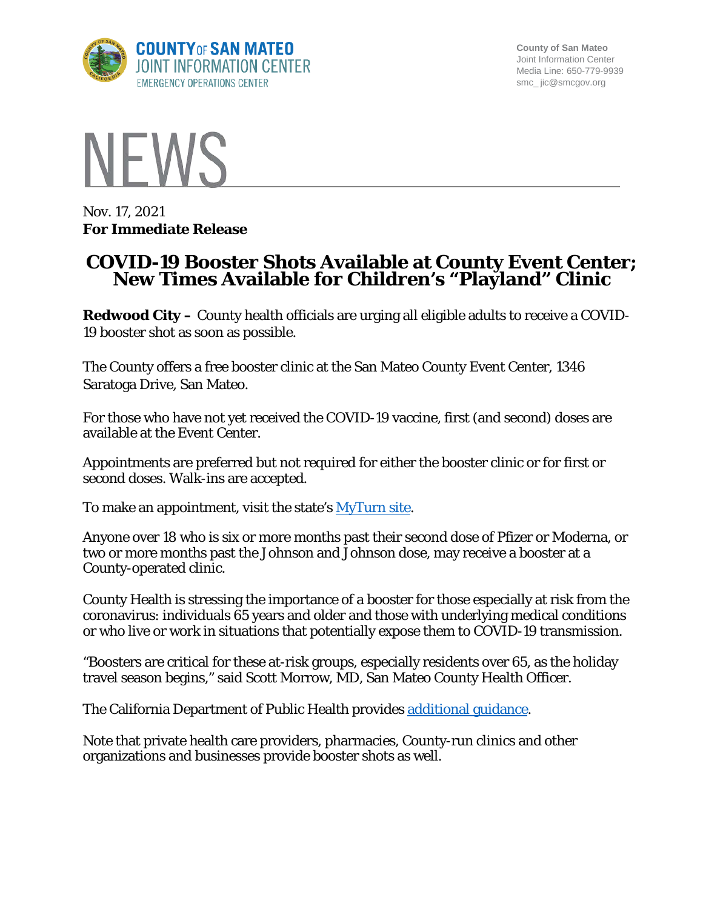

**County of San Mateo** Joint Information Center Media Line: 650-779-9939 smc\_ jic@smcgov.org



Nov. 17, 2021 **For Immediate Release**

## **COVID-19 Booster Shots Available at County Event Center; New Times Available for Children's "Playland" Clinic**

**Redwood City –** County health officials are urging all eligible adults to receive a COVID-19 booster shot as soon as possible.

The County offers a free booster clinic at the San Mateo County Event Center, 1346 Saratoga Drive, San Mateo.

For those who have not yet received the COVID-19 vaccine, first (and second) doses are available at the Event Center.

Appointments are preferred but not required for either the booster clinic or for first or second doses. Walk-ins are accepted.

To make an appointment, visit the state's [MyTurn site.](https://myturn.ca.gov/)

Anyone over 18 who is six or more months past their second dose of Pfizer or Moderna, or two or more months past the Johnson and Johnson dose, may receive a booster at a County-operated clinic.

County Health is stressing the importance of a booster for those especially at risk from the coronavirus: individuals 65 years and older and those with underlying medical conditions or who live or work in situations that potentially expose them to COVID-19 transmission.

"Boosters are critical for these at-risk groups, especially residents over 65, as the holiday travel season begins," said Scott Morrow, MD, San Mateo County Health Officer.

The California Department of Public Health provides [additional guidance.](https://www.cdph.ca.gov/Programs/CID/DCDC/Pages/COVID-19/COVID-19-Vaccine-Boosters.aspx)

Note that private health care providers, pharmacies, County-run clinics and other organizations and businesses provide booster shots as well.